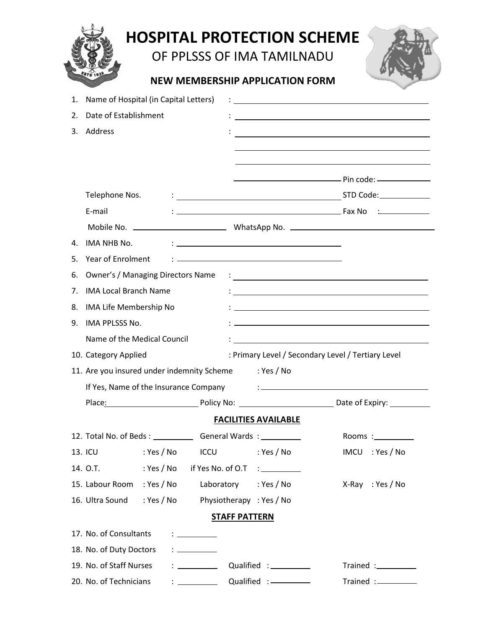OF PPLSSS OF IMA TAMILNADU



## **NEW MEMBERSHIP APPLICATION FORM**

| Name of Hospital (in Capital Letters)<br>1.                               |            |                                              |                             |                                                                                                                                                                                                                                      |
|---------------------------------------------------------------------------|------------|----------------------------------------------|-----------------------------|--------------------------------------------------------------------------------------------------------------------------------------------------------------------------------------------------------------------------------------|
| Date of Establishment<br>2.                                               |            |                                              |                             | <u> 1989 - Johann Barbara, martxa alemaniar arg</u>                                                                                                                                                                                  |
| Address<br>3.                                                             |            |                                              |                             |                                                                                                                                                                                                                                      |
|                                                                           |            |                                              |                             |                                                                                                                                                                                                                                      |
|                                                                           |            |                                              |                             |                                                                                                                                                                                                                                      |
|                                                                           |            |                                              |                             |                                                                                                                                                                                                                                      |
| Telephone Nos.                                                            |            |                                              |                             |                                                                                                                                                                                                                                      |
| E-mail                                                                    |            |                                              |                             |                                                                                                                                                                                                                                      |
|                                                                           |            |                                              |                             |                                                                                                                                                                                                                                      |
| IMA NHB No.<br>4.                                                         |            |                                              |                             |                                                                                                                                                                                                                                      |
| Year of Enrolment<br>5.                                                   |            |                                              |                             |                                                                                                                                                                                                                                      |
| <b>Owner's / Managing Directors Name</b><br>6.                            |            |                                              |                             | <u> : a construction de la construction de la construction de la construction de la construction de la construction de la construction de la construction de la construction de la construction de la construction de la constru</u> |
| <b>IMA Local Branch Name</b><br>7.                                        |            |                                              |                             |                                                                                                                                                                                                                                      |
| IMA Life Membership No<br>8.                                              |            |                                              |                             |                                                                                                                                                                                                                                      |
| IMA PPLSSS No.<br>9.                                                      |            |                                              |                             |                                                                                                                                                                                                                                      |
| Name of the Medical Council                                               |            |                                              |                             |                                                                                                                                                                                                                                      |
| 10. Category Applied                                                      |            |                                              |                             | : Primary Level / Secondary Level / Tertiary Level                                                                                                                                                                                   |
| 11. Are you insured under indemnity Scheme                                |            |                                              | : Yes / No                  |                                                                                                                                                                                                                                      |
|                                                                           |            |                                              |                             | If Yes, Name of the Insurance Company (Electronic Company)                                                                                                                                                                           |
|                                                                           |            |                                              |                             | Place: Policy No: Policy No: Date of Expiry:                                                                                                                                                                                         |
|                                                                           |            |                                              | <b>FACILITIES AVAILABLE</b> |                                                                                                                                                                                                                                      |
| 12. Total No. of Beds : __________________General Wards : _______________ |            |                                              |                             | Rooms : $\_\_\_\_\_\_\_\_\_\_\_\_\_\_\_$                                                                                                                                                                                             |
| 13. ICU                                                                   | : Yes / No | <b>ICCU</b>                                  | : Yes / No                  | : Yes / No<br><b>IMCU</b>                                                                                                                                                                                                            |
| 14. O.T.                                                                  | : Yes / No | if Yes No. of O.T                            |                             |                                                                                                                                                                                                                                      |
| 15. Labour Room                                                           | : Yes / No | Laboratory                                   | : Yes / No                  | $X-Ray : Yes / No$                                                                                                                                                                                                                   |
| 16. Ultra Sound                                                           | : Yes / No | Physiotherapy : Yes / No                     |                             |                                                                                                                                                                                                                                      |
|                                                                           |            | <b>STAFF PATTERN</b>                         |                             |                                                                                                                                                                                                                                      |
| 17. No. of Consultants                                                    |            | : ________                                   |                             |                                                                                                                                                                                                                                      |
| 18. No. of Duty Doctors                                                   |            | $\mathbf{r}$ : $\mathbf{r}$ and $\mathbf{r}$ |                             |                                                                                                                                                                                                                                      |
| 19. No. of Staff Nurses                                                   |            | $\mathbf{r}$ . The same state $\mathbf{r}$   | Qualified: ___________      | Trained :____________                                                                                                                                                                                                                |
| 20. No. of Technicians                                                    |            |                                              |                             | Trained :_________                                                                                                                                                                                                                   |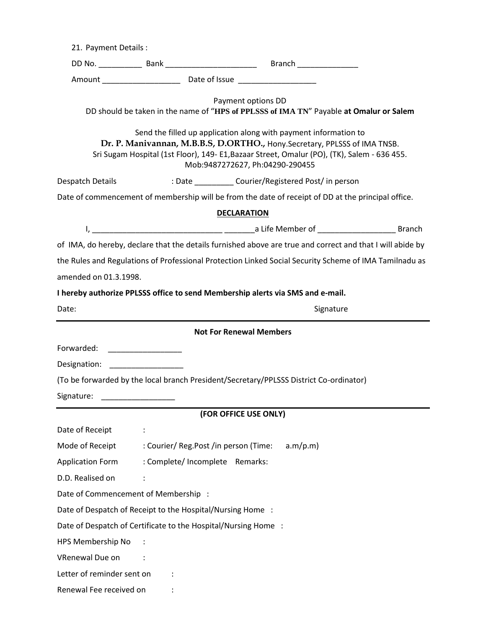| 21. Payment Details:                                                                                                                                                                                                                                                            |                                                                                                                                                                                                                                      |                                                                                                              |  |  |  |  |  |  |
|---------------------------------------------------------------------------------------------------------------------------------------------------------------------------------------------------------------------------------------------------------------------------------|--------------------------------------------------------------------------------------------------------------------------------------------------------------------------------------------------------------------------------------|--------------------------------------------------------------------------------------------------------------|--|--|--|--|--|--|
|                                                                                                                                                                                                                                                                                 |                                                                                                                                                                                                                                      |                                                                                                              |  |  |  |  |  |  |
|                                                                                                                                                                                                                                                                                 |                                                                                                                                                                                                                                      |                                                                                                              |  |  |  |  |  |  |
|                                                                                                                                                                                                                                                                                 |                                                                                                                                                                                                                                      | Payment options DD<br>DD should be taken in the name of "HPS of PPLSSS of IMA TN" Payable at Omalur or Salem |  |  |  |  |  |  |
| Send the filled up application along with payment information to<br>Dr. P. Manivannan, M.B.B.S, D.ORTHO., Hony.Secretary, PPLSSS of IMA TNSB.<br>Sri Sugam Hospital (1st Floor), 149- E1, Bazaar Street, Omalur (PO), (TK), Salem - 636 455.<br>Mob:9487272627, Ph:04290-290455 |                                                                                                                                                                                                                                      |                                                                                                              |  |  |  |  |  |  |
| Despatch Details                                                                                                                                                                                                                                                                |                                                                                                                                                                                                                                      | : Date ____________ Courier/Registered Post/ in person                                                       |  |  |  |  |  |  |
|                                                                                                                                                                                                                                                                                 |                                                                                                                                                                                                                                      | Date of commencement of membership will be from the date of receipt of DD at the principal office.           |  |  |  |  |  |  |
|                                                                                                                                                                                                                                                                                 |                                                                                                                                                                                                                                      | <b>DECLARATION</b>                                                                                           |  |  |  |  |  |  |
|                                                                                                                                                                                                                                                                                 |                                                                                                                                                                                                                                      |                                                                                                              |  |  |  |  |  |  |
|                                                                                                                                                                                                                                                                                 |                                                                                                                                                                                                                                      | of IMA, do hereby, declare that the details furnished above are true and correct and that I will abide by    |  |  |  |  |  |  |
|                                                                                                                                                                                                                                                                                 |                                                                                                                                                                                                                                      | the Rules and Regulations of Professional Protection Linked Social Security Scheme of IMA Tamilnadu as       |  |  |  |  |  |  |
| amended on 01.3.1998.                                                                                                                                                                                                                                                           |                                                                                                                                                                                                                                      |                                                                                                              |  |  |  |  |  |  |
| I hereby authorize PPLSSS office to send Membership alerts via SMS and e-mail.                                                                                                                                                                                                  |                                                                                                                                                                                                                                      |                                                                                                              |  |  |  |  |  |  |
| Date:                                                                                                                                                                                                                                                                           |                                                                                                                                                                                                                                      | Signature                                                                                                    |  |  |  |  |  |  |
|                                                                                                                                                                                                                                                                                 |                                                                                                                                                                                                                                      | <b>Not For Renewal Members</b>                                                                               |  |  |  |  |  |  |
| Forwarded:                                                                                                                                                                                                                                                                      |                                                                                                                                                                                                                                      |                                                                                                              |  |  |  |  |  |  |
| Designation:                                                                                                                                                                                                                                                                    | <u> 1990 - John Harry Harry Harry Harry Harry Harry Harry Harry Harry Harry Harry Harry Harry Harry Harry Harry Harry Harry Harry Harry Harry Harry Harry Harry Harry Harry Harry Harry Harry Harry Harry Harry Harry Harry Harr</u> |                                                                                                              |  |  |  |  |  |  |
|                                                                                                                                                                                                                                                                                 |                                                                                                                                                                                                                                      | (To be forwarded by the local branch President/Secretary/PPLSSS District Co-ordinator)                       |  |  |  |  |  |  |
| Signature:                                                                                                                                                                                                                                                                      |                                                                                                                                                                                                                                      |                                                                                                              |  |  |  |  |  |  |
|                                                                                                                                                                                                                                                                                 |                                                                                                                                                                                                                                      | (FOR OFFICE USE ONLY)                                                                                        |  |  |  |  |  |  |
| Date of Receipt                                                                                                                                                                                                                                                                 |                                                                                                                                                                                                                                      |                                                                                                              |  |  |  |  |  |  |
| Mode of Receipt                                                                                                                                                                                                                                                                 |                                                                                                                                                                                                                                      | : Courier/ Reg.Post /in person (Time:<br>a.m/p.m)                                                            |  |  |  |  |  |  |
| <b>Application Form</b>                                                                                                                                                                                                                                                         |                                                                                                                                                                                                                                      | : Complete/ Incomplete Remarks:                                                                              |  |  |  |  |  |  |
| D.D. Realised on                                                                                                                                                                                                                                                                |                                                                                                                                                                                                                                      |                                                                                                              |  |  |  |  |  |  |
| Date of Commencement of Membership :                                                                                                                                                                                                                                            |                                                                                                                                                                                                                                      |                                                                                                              |  |  |  |  |  |  |
| Date of Despatch of Receipt to the Hospital/Nursing Home:                                                                                                                                                                                                                       |                                                                                                                                                                                                                                      |                                                                                                              |  |  |  |  |  |  |
|                                                                                                                                                                                                                                                                                 |                                                                                                                                                                                                                                      | Date of Despatch of Certificate to the Hospital/Nursing Home :                                               |  |  |  |  |  |  |
| HPS Membership No                                                                                                                                                                                                                                                               |                                                                                                                                                                                                                                      |                                                                                                              |  |  |  |  |  |  |
| VRenewal Due on                                                                                                                                                                                                                                                                 |                                                                                                                                                                                                                                      |                                                                                                              |  |  |  |  |  |  |
| Letter of reminder sent on                                                                                                                                                                                                                                                      |                                                                                                                                                                                                                                      |                                                                                                              |  |  |  |  |  |  |
| Renewal Fee received on                                                                                                                                                                                                                                                         |                                                                                                                                                                                                                                      |                                                                                                              |  |  |  |  |  |  |